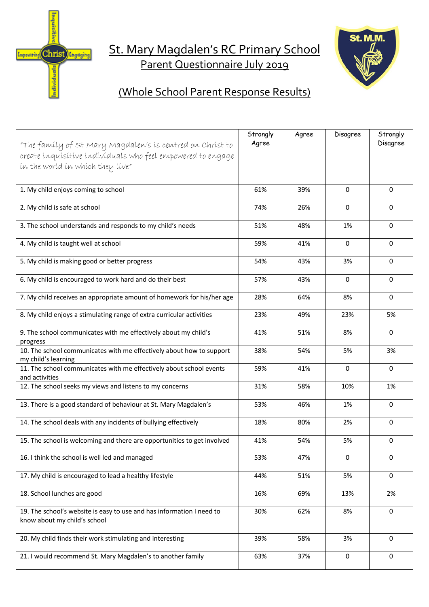

# St. Mary Magdalen's RC Primary School Parent Questionnaire July 2019



## (Whole School Parent Response Results)

| "The family of St Mary Magdalen's is centred on Christ to                                             | Strongly<br>Agree | Agree | Disagree     | Strongly<br>Disagree |
|-------------------------------------------------------------------------------------------------------|-------------------|-------|--------------|----------------------|
| create inquisitive individuals who feel empowered to engage                                           |                   |       |              |                      |
| ín the world ín whích they líve"                                                                      |                   |       |              |                      |
| 1. My child enjoys coming to school                                                                   | 61%               | 39%   | $\mathbf 0$  | 0                    |
| 2. My child is safe at school                                                                         | 74%               | 26%   | $\mathbf 0$  | 0                    |
| 3. The school understands and responds to my child's needs                                            | 51%               | 48%   | 1%           | 0                    |
| 4. My child is taught well at school                                                                  | 59%               | 41%   | $\mathbf 0$  | 0                    |
| 5. My child is making good or better progress                                                         | 54%               | 43%   | 3%           | 0                    |
| 6. My child is encouraged to work hard and do their best                                              | 57%               | 43%   | $\mathbf{0}$ | $\mathbf{0}$         |
| 7. My child receives an appropriate amount of homework for his/her age                                | 28%               | 64%   | 8%           | $\Omega$             |
| 8. My child enjoys a stimulating range of extra curricular activities                                 | 23%               | 49%   | 23%          | 5%                   |
| 9. The school communicates with me effectively about my child's<br>progress                           | 41%               | 51%   | 8%           | $\Omega$             |
| 10. The school communicates with me effectively about how to support<br>my child's learning           | 38%               | 54%   | 5%           | 3%                   |
| 11. The school communicates with me effectively about school events<br>and activities                 | 59%               | 41%   | 0            | 0                    |
| 12. The school seeks my views and listens to my concerns                                              | 31%               | 58%   | 10%          | 1%                   |
| 13. There is a good standard of behaviour at St. Mary Magdalen's                                      | 53%               | 46%   | 1%           | $\mathbf 0$          |
| 14. The school deals with any incidents of bullying effectively                                       | 18%               | 80%   | 2%           | 0                    |
| 15. The school is welcoming and there are opportunities to get involved                               | 41%               | 54%   | 5%           | 0                    |
| 16. I think the school is well led and managed                                                        | 53%               | 47%   | 0            | 0                    |
| 17. My child is encouraged to lead a healthy lifestyle                                                | 44%               | 51%   | 5%           | $\Omega$             |
| 18. School lunches are good                                                                           | 16%               | 69%   | 13%          | 2%                   |
| 19. The school's website is easy to use and has information I need to<br>know about my child's school | 30%               | 62%   | 8%           | 0                    |
| 20. My child finds their work stimulating and interesting                                             | 39%               | 58%   | 3%           | $\mathbf 0$          |
| 21. I would recommend St. Mary Magdalen's to another family                                           | 63%               | 37%   | $\pmb{0}$    | 0                    |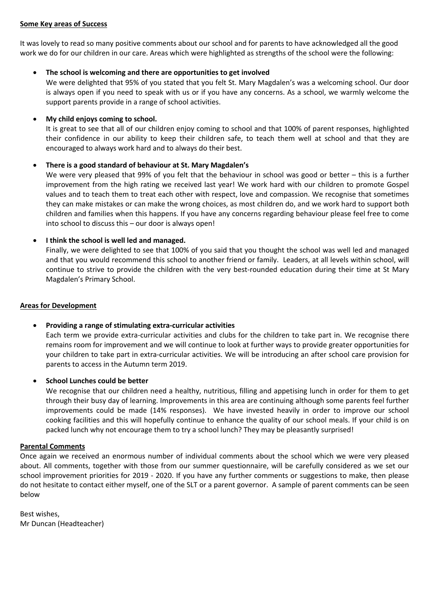#### **Some Key areas of Success**

It was lovely to read so many positive comments about our school and for parents to have acknowledged all the good work we do for our children in our care. Areas which were highlighted as strengths of the school were the following:

### • **The school is welcoming and there are opportunities to get involved**

We were delighted that 95% of you stated that you felt St. Mary Magdalen's was a welcoming school. Our door is always open if you need to speak with us or if you have any concerns. As a school, we warmly welcome the support parents provide in a range of school activities.

### • **My child enjoys coming to school.**

It is great to see that all of our children enjoy coming to school and that 100% of parent responses, highlighted their confidence in our ability to keep their children safe, to teach them well at school and that they are encouraged to always work hard and to always do their best.

#### • **There is a good standard of behaviour at St. Mary Magdalen's**

We were very pleased that 99% of you felt that the behaviour in school was good or better – this is a further improvement from the high rating we received last year! We work hard with our children to promote Gospel values and to teach them to treat each other with respect, love and compassion. We recognise that sometimes they can make mistakes or can make the wrong choices, as most children do, and we work hard to support both children and families when this happens. If you have any concerns regarding behaviour please feel free to come into school to discuss this – our door is always open!

#### • **I think the school is well led and managed.**

Finally, we were delighted to see that 100% of you said that you thought the school was well led and managed and that you would recommend this school to another friend or family. Leaders, at all levels within school, will continue to strive to provide the children with the very best-rounded education during their time at St Mary Magdalen's Primary School.

#### **Areas for Development**

## • **Providing a range of stimulating extra-curricular activities**

Each term we provide extra-curricular activities and clubs for the children to take part in. We recognise there remains room for improvement and we will continue to look at further ways to provide greater opportunities for your children to take part in extra-curricular activities. We will be introducing an after school care provision for parents to access in the Autumn term 2019.

• **School Lunches could be better**

We recognise that our children need a healthy, nutritious, filling and appetising lunch in order for them to get through their busy day of learning. Improvements in this area are continuing although some parents feel further improvements could be made (14% responses). We have invested heavily in order to improve our school cooking facilities and this will hopefully continue to enhance the quality of our school meals. If your child is on packed lunch why not encourage them to try a school lunch? They may be pleasantly surprised!

#### **Parental Comments**

Once again we received an enormous number of individual comments about the school which we were very pleased about. All comments, together with those from our summer questionnaire, will be carefully considered as we set our school improvement priorities for 2019 - 2020. If you have any further comments or suggestions to make, then please do not hesitate to contact either myself, one of the SLT or a parent governor. A sample of parent comments can be seen below

Best wishes, Mr Duncan (Headteacher)